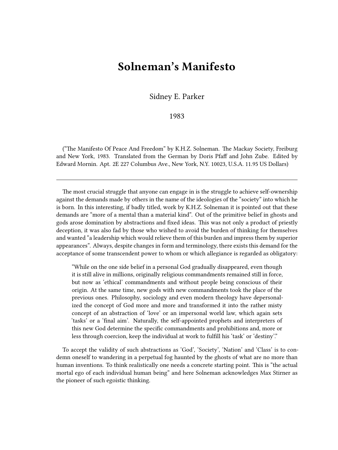## **Solneman's Manifesto**

Sidney E. Parker

1983

("The Manifesto Of Peace And Freedom" by K.H.Z. Solneman. The Mackay Society, Freiburg and New York, 1983. Translated from the German by Doris Pfaff and John Zube. Edited by Edward Mornin. Apt. 2E 227 Columbus Ave., New York, N.Y. 10023, U.S.A. 11.95 US Dollars)

The most crucial struggle that anyone can engage in is the struggle to achieve self-ownership against the demands made by others in the name of the ideologies of the "society" into which he is born. In this interesting, if badly titled, work by K.H.Z. Solneman it is pointed out that these demands are "more of a mental than a material kind". Out of the primitive belief in ghosts and gods arose domination by abstractions and fixed ideas. This was not only a product of priestly deception, it was also fad by those who wished to avoid the burden of thinking for themselves and wanted "a leadership which would relieve them of this burden and impress them by superior appearances". Always, despite changes in form and terminology, there exists this demand for the acceptance of some transcendent power to whom or which allegiance is regarded as obligatory:

"While on the one side belief in a personal God gradually disappeared, even though it is still alive in millions, originally religious commandments remained still in force, but now as 'ethical' commandments and without people being conscious of their origin. At the same time, new gods with new commandments took the place of the previous ones. Philosophy, sociology and even modern theology have depersonalized the concept of God more and more and transformed it into the rather misty concept of an abstraction of 'love' or an impersonal world law, which again sets 'tasks' or a 'final aim'. Naturally, the self-appointed prophets and interpreters of this new God determine the specific commandments and prohibitions and, more or less through coercion, keep the individual at work to fulfill his 'task' or 'destiny'."

To accept the validity of such abstractions as 'God', 'Society', 'Nation' and 'Class' is to condemn oneself to wandering in a perpetual fog haunted by the ghosts of what are no more than human inventions. To think realistically one needs a concrete starting point. This is "the actual mortal ego of each individual human being" and here Solneman acknowledges Max Stirner as the pioneer of such egoistic thinking.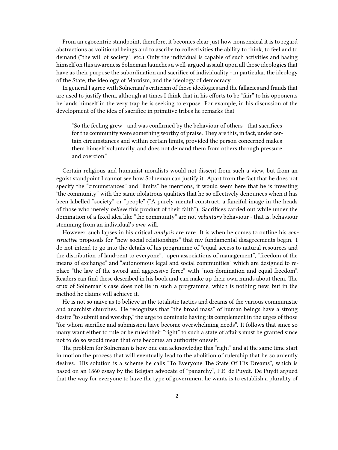From an egocentric standpoint, therefore, it becomes clear just how nonsensical it is to regard abstractions as volitional beings and to ascribe to collectivities the ability to think, to feel and to demand ("the will of society", etc.) Only the individual is capable of such activities and basing himself on this awareness Solneman launches a well-argued assault upon all those ideologies that have as their purpose the subordination and sacrifice of individuality - in particular, the ideology of the State, the ideology of Marxism, and the ideology of democracy.

In general I agree with Solneman's criticism of these ideologies and the fallacies and frauds that are used to justify them, although at times I think that in his efforts to be "fair" to his opponents he lands himself in the very trap he is seeking to expose. For example, in his discussion of the development of the idea of sacrifice in primitive tribes he remarks that

"So the feeling grew - and was confirmed by the behaviour of others - that sacrifices for the community were something worthy of praise. They are this, in fact, under certain circumstances and within certain limits, provided the person concerned makes them himself voluntarily, and does not demand them from others through pressure and coercion."

Certain religious and humanist moralists would not dissent from such a view, but from an egoist standpoint I cannot see how Solneman can justify it. Apart from the fact that he does not specify the "circumstances" and "limits" he mentions, it would seem here that he is investing "the community" with the same idolatrous qualities that he so effectively denounces when it has been labelled "society" or "people" ("A purely mental construct, a fanciful image in the heads of those who merely *believe* this product of their faith"). Sacrifices carried out while under the domination of a fixed idea like "the community" are not *voluntary* behaviour - that is, behaviour stemming from an individual's *own* will.

However, such lapses in his critical *analysis* are rare. It is when he comes to outline his *constructive* proposals for "new social relationships" that my fundamental disagreements begin. I do not intend to go into the details of his programme of "equal access to natural resources and the distribution of land-rent to everyone", "open associations of management", "freedom of the means of exchange" and "autonomous legal and social communities" which are designed to replace "the law of the sword and aggressive force" with "non-domination and equal freedom". Readers can find these described in his book and can make up their own minds about them. The crux of Solneman's case does not lie in such a programme, which is nothing new, but in the method he claims will achieve it.

He is not so naive as to believe in the totalistic tactics and dreams of the various communistic and anarchist churches. He recognizes that "the broad mass" of human beings have a strong desire "to submit and worship," the urge to dominate having its complement in the urges of those "for whom sacrifice and submission have become overwhelming needs". It follows that since so many want either to rule or be ruled their "right" to such a state of affairs must be granted since not to do so would mean that one becomes an authority oneself.

The problem for Solneman is how one can acknowledge this "right" and at the same time start in motion the process that will eventually lead to the abolition of rulership that he so ardently desires. His solution is a scheme he calls "To Everyone The State Of His Dreams", which is based on an 1860 essay by the Belgian advocate of "panarchy", P.E. de Puydt. De Puydt argued that the way for everyone to have the type of government he wants is to establish a plurality of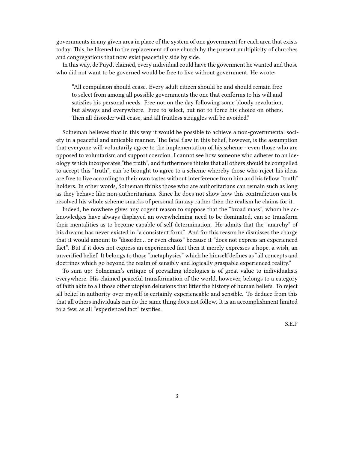governments in any given area in place of the system of one government for each area that exists today. This, he likened to the replacement of one church by the present multiplicity of churches and congregations that now exist peacefully side by side.

In this way, de Puydt claimed, every individual could have the govenment he wanted and those who did not want to be governed would be free to live without government. He wrote:

"All compulsion should cease. Every adult citizen should be and should remain free to select from among all possible governments the one that conforms to his will and satisfies his personal needs. Free not on the day following some bloody revolution, but always and everywhere. Free to select, but not to force his choice on others. Then all disorder will cease, and all fruitless struggles will be avoided."

Solneman believes that in this way it would be possible to achieve a non-governmental society in a peaceful and amicable manner. The fatal flaw in this belief, however, is the assumption that everyone will voluntarily agree to the implementation of his scheme - even those who are opposed to voluntarism and support coercion. I cannot see how someone who adheres to an ideology which incorporates "the truth", and furthermore thinks that all others should be compelled to accept this "truth", can be brought to agree to a scheme whereby those who reject his ideas are free to live according to their own tastes without interference from him and his fellow "truth" holders. In other words, Solneman thinks those who are authoritarians can remain such as long as they behave like non-authoritarians. Since he does not show how this contradiction can be resolved his whole scheme smacks of personal fantasy rather then the realism he claims for it.

Indeed, he nowhere gives any cogent reason to suppose that the "broad mass", whom he acknowledges have always displayed an overwhelming need to be dominated, can so transform their mentalities as to become capable of self-determination. He admits that the "anarchy" of his dreams has never existed in "a consistent form". And for this reason he dismisses the charge that it would amount to "disorder… or even chaos" because it "does not express an experienced fact". But if it does not express an experienced fact then it merely expresses a hope, a wish, an unverified belief. It belongs to those "metaphysics" which he himself defines as "all concepts and doctrines which go beyond the realm of sensibly and logically graspable experienced reality."

To sum up: Solneman's critique of prevailing ideologies is of great value to individualists everywhere. His claimed peaceful transformation of the world, however, belongs to a category of faith akin to all those other utopian delusions that litter the history of human beliefs. To reject all belief in authority over myself is certainly experiencable and sensible. To deduce from this that all others individuals can do the same thing does not follow. It is an accomplishment limited to a few, as all "experienced fact" testifies.